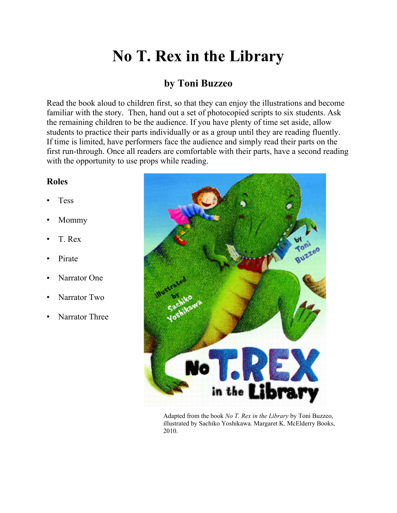## **No T. Rex in the Library**

## **by Toni Buzzeo**

Read the book aloud to children first, so that they can enjoy the illustrations and become familiar with the story. Then, hand out a set of photocopied scripts to six students. Ask the remaining children to be the audience. If you have plenty of time set aside, allow students to practice their parts individually or as a group until they are reading fluently. If time is limited, have performers face the audience and simply read their parts on the first run-through. Once all readers are comfortable with their parts, have a second reading with the opportunity to use props while reading.

## **Roles**

- **Tess**
- Mommy
- T. Rex
- Pirate
- Narrator One
- Narrator Two
- Narrator Three



Adapted from the book *No T. Rex in the Library* by Toni Buzzeo, illustrated by Sachiko Yoshikawa. Margaret K. McElderry Books, 2010.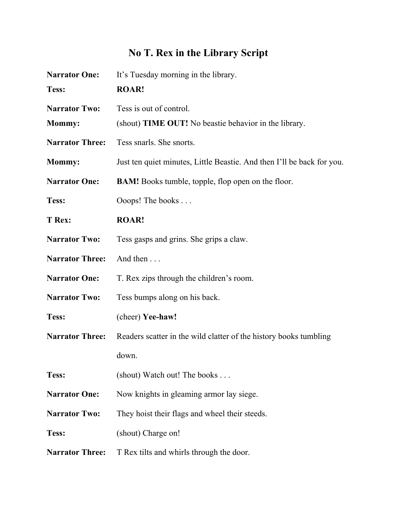## **No T. Rex in the Library Script**

| <b>Narrator One:</b>   | It's Tuesday morning in the library.                                   |
|------------------------|------------------------------------------------------------------------|
| Tess:                  | <b>ROAR!</b>                                                           |
| <b>Narrator Two:</b>   | Tess is out of control.                                                |
| <b>Mommy:</b>          | (shout) <b>TIME OUT!</b> No beastic behavior in the library.           |
| <b>Narrator Three:</b> | Tess snarls. She snorts.                                               |
| <b>Mommy:</b>          | Just ten quiet minutes, Little Beastie. And then I'll be back for you. |
| <b>Narrator One:</b>   | <b>BAM!</b> Books tumble, topple, flop open on the floor.              |
| Tess:                  | Ooops! The books                                                       |
| T Rex:                 | <b>ROAR!</b>                                                           |
| <b>Narrator Two:</b>   | Tess gasps and grins. She grips a claw.                                |
| <b>Narrator Three:</b> | And then                                                               |
| <b>Narrator One:</b>   | T. Rex zips through the children's room.                               |
| <b>Narrator Two:</b>   | Tess bumps along on his back.                                          |
| Tess:                  | (cheer) Yee-haw!                                                       |
| <b>Narrator Three:</b> | Readers scatter in the wild clatter of the history books tumbling      |
|                        | down.                                                                  |
| Tess:                  | (shout) Watch out! The books                                           |
| <b>Narrator One:</b>   | Now knights in gleaming armor lay siege.                               |
| <b>Narrator Two:</b>   | They hoist their flags and wheel their steeds.                         |
| Tess:                  | (shout) Charge on!                                                     |
| <b>Narrator Three:</b> | T Rex tilts and whirls through the door.                               |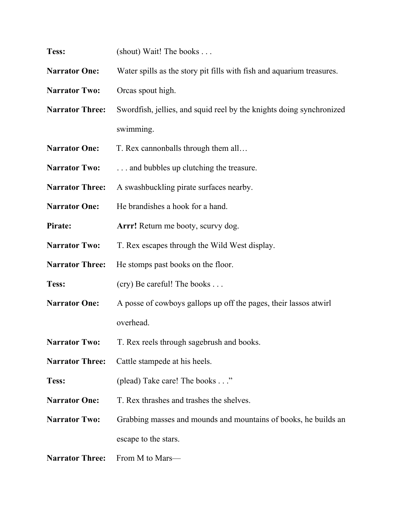| Tess:                  | (shout) Wait! The books                                               |
|------------------------|-----------------------------------------------------------------------|
| <b>Narrator One:</b>   | Water spills as the story pit fills with fish and aquarium treasures. |
| <b>Narrator Two:</b>   | Orcas spout high.                                                     |
| <b>Narrator Three:</b> | Swordfish, jellies, and squid reel by the knights doing synchronized  |
|                        | swimming.                                                             |
| <b>Narrator One:</b>   | T. Rex cannonballs through them all                                   |
| <b>Narrator Two:</b>   | and bubbles up clutching the treasure.                                |
| <b>Narrator Three:</b> | A swashbuckling pirate surfaces nearby.                               |
| <b>Narrator One:</b>   | He brandishes a hook for a hand.                                      |
| Pirate:                | Arrr! Return me booty, scurvy dog.                                    |
| <b>Narrator Two:</b>   | T. Rex escapes through the Wild West display.                         |
| <b>Narrator Three:</b> | He stomps past books on the floor.                                    |
| Tess:                  | (cry) Be careful! The books                                           |
| <b>Narrator One:</b>   | A posse of cowboys gallops up off the pages, their lassos atwirl      |
|                        | overhead.                                                             |
| <b>Narrator Two:</b>   | T. Rex reels through sagebrush and books.                             |
| <b>Narrator Three:</b> | Cattle stampede at his heels.                                         |
| Tess:                  | (plead) Take care! The books"                                         |
| <b>Narrator One:</b>   | T. Rex thrashes and trashes the shelves.                              |
| <b>Narrator Two:</b>   | Grabbing masses and mounds and mountains of books, he builds an       |
|                        | escape to the stars.                                                  |
| <b>Narrator Three:</b> | From M to Mars—                                                       |